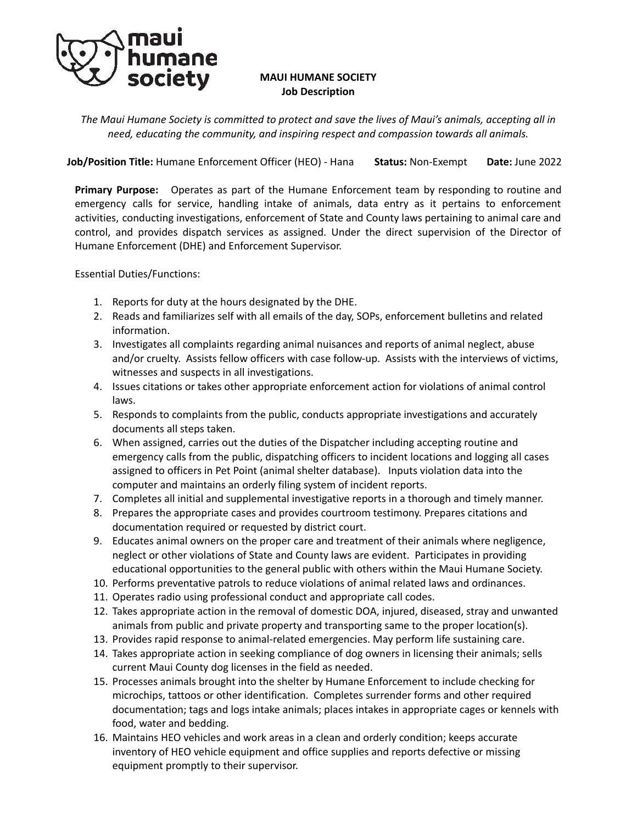

## **MAUI HUMANE SOCIETY Job Description**

*The Maui Humane Society is committed to protect and save the lives of Maui's animals, accepting all in need, educating the community, and inspiring respect and compassion towards all animals.*

**Job/Position Title:** Humane Enforcement Officer (HEO) - Hana **Status:** Non-Exempt **Date:** June 2022

**Primary Purpose:** Operates as part of the Humane Enforcement team by responding to routine and emergency calls for service, handling intake of animals, data entry as it pertains to enforcement activities, conducting investigations, enforcement of State and County laws pertaining to animal care and control, and provides dispatch services as assigned. Under the direct supervision of the Director of Humane Enforcement (DHE) and Enforcement Supervisor.

Essential Duties/Functions:

- 1. Reports for duty at the hours designated by the DHE.
- 2. Reads and familiarizes self with all emails of the day, SOPs, enforcement bulletins and related information.
- 3. Investigates all complaints regarding animal nuisances and reports of animal neglect, abuse and/or cruelty. Assists fellow officers with case follow-up. Assists with the interviews of victims, witnesses and suspects in all investigations.
- 4. Issues citations or takes other appropriate enforcement action for violations of animal control laws.
- 5. Responds to complaints from the public, conducts appropriate investigations and accurately documents all steps taken.
- 6. When assigned, carries out the duties of the Dispatcher including accepting routine and emergency calls from the public, dispatching officers to incident locations and logging all cases assigned to officers in Pet Point (animal shelter database). Inputs violation data into the computer and maintains an orderly filing system of incident reports.
- 7. Completes all initial and supplemental investigative reports in a thorough and timely manner.
- 8. Prepares the appropriate cases and provides courtroom testimony. Prepares citations and documentation required or requested by district court.
- 9. Educates animal owners on the proper care and treatment of their animals where negligence, neglect or other violations of State and County laws are evident. Participates in providing educational opportunities to the general public with others within the Maui Humane Society.
- 10. Performs preventative patrols to reduce violations of animal related laws and ordinances.
- 11. Operates radio using professional conduct and appropriate call codes.
- 12. Takes appropriate action in the removal of domestic DOA, injured, diseased, stray and unwanted animals from public and private property and transporting same to the proper location(s).
- 13. Provides rapid response to animal-related emergencies. May perform life sustaining care.
- 14. Takes appropriate action in seeking compliance of dog owners in licensing their animals; sells current Maui County dog licenses in the field as needed.
- 15. Processes animals brought into the shelter by Humane Enforcement to include checking for microchips, tattoos or other identification. Completes surrender forms and other required documentation; tags and logs intake animals; places intakes in appropriate cages or kennels with food, water and bedding.
- 16. Maintains HEO vehicles and work areas in a clean and orderly condition; keeps accurate inventory of HEO vehicle equipment and office supplies and reports defective or missing equipment promptly to their supervisor.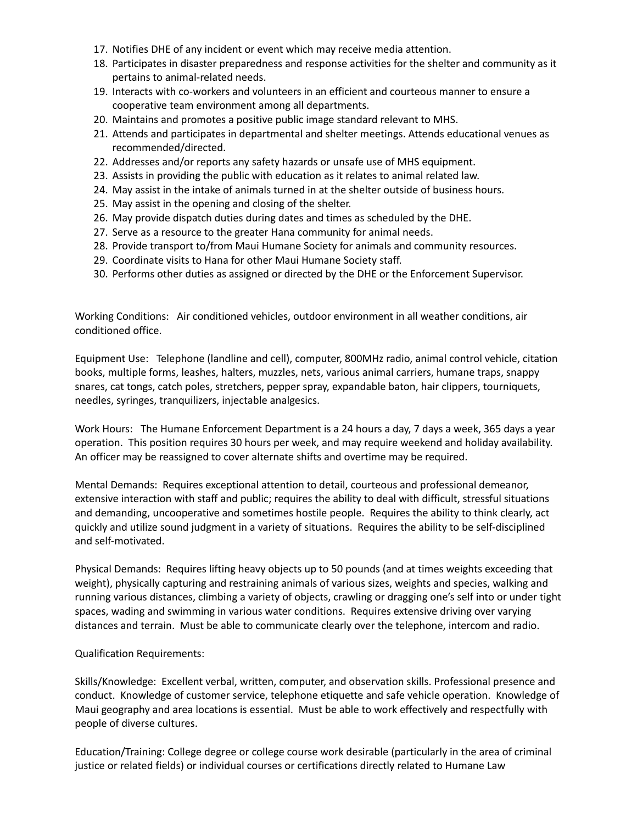- 17. Notifies DHE of any incident or event which may receive media attention.
- 18. Participates in disaster preparedness and response activities for the shelter and community as it pertains to animal-related needs.
- 19. Interacts with co-workers and volunteers in an efficient and courteous manner to ensure a cooperative team environment among all departments.
- 20. Maintains and promotes a positive public image standard relevant to MHS.
- 21. Attends and participates in departmental and shelter meetings. Attends educational venues as recommended/directed.
- 22. Addresses and/or reports any safety hazards or unsafe use of MHS equipment.
- 23. Assists in providing the public with education as it relates to animal related law.
- 24. May assist in the intake of animals turned in at the shelter outside of business hours.
- 25. May assist in the opening and closing of the shelter.
- 26. May provide dispatch duties during dates and times as scheduled by the DHE.
- 27. Serve as a resource to the greater Hana community for animal needs.
- 28. Provide transport to/from Maui Humane Society for animals and community resources.
- 29. Coordinate visits to Hana for other Maui Humane Society staff.
- 30. Performs other duties as assigned or directed by the DHE or the Enforcement Supervisor.

Working Conditions: Air conditioned vehicles, outdoor environment in all weather conditions, air conditioned office.

Equipment Use: Telephone (landline and cell), computer, 800MHz radio, animal control vehicle, citation books, multiple forms, leashes, halters, muzzles, nets, various animal carriers, humane traps, snappy snares, cat tongs, catch poles, stretchers, pepper spray, expandable baton, hair clippers, tourniquets, needles, syringes, tranquilizers, injectable analgesics.

Work Hours: The Humane Enforcement Department is a 24 hours a day, 7 days a week, 365 days a year operation. This position requires 30 hours per week, and may require weekend and holiday availability. An officer may be reassigned to cover alternate shifts and overtime may be required.

Mental Demands: Requires exceptional attention to detail, courteous and professional demeanor, extensive interaction with staff and public; requires the ability to deal with difficult, stressful situations and demanding, uncooperative and sometimes hostile people. Requires the ability to think clearly, act quickly and utilize sound judgment in a variety of situations. Requires the ability to be self-disciplined and self-motivated.

Physical Demands: Requires lifting heavy objects up to 50 pounds (and at times weights exceeding that weight), physically capturing and restraining animals of various sizes, weights and species, walking and running various distances, climbing a variety of objects, crawling or dragging one's self into or under tight spaces, wading and swimming in various water conditions. Requires extensive driving over varying distances and terrain. Must be able to communicate clearly over the telephone, intercom and radio.

## Qualification Requirements:

Skills/Knowledge: Excellent verbal, written, computer, and observation skills. Professional presence and conduct. Knowledge of customer service, telephone etiquette and safe vehicle operation. Knowledge of Maui geography and area locations is essential. Must be able to work effectively and respectfully with people of diverse cultures.

Education/Training: College degree or college course work desirable (particularly in the area of criminal justice or related fields) or individual courses or certifications directly related to Humane Law